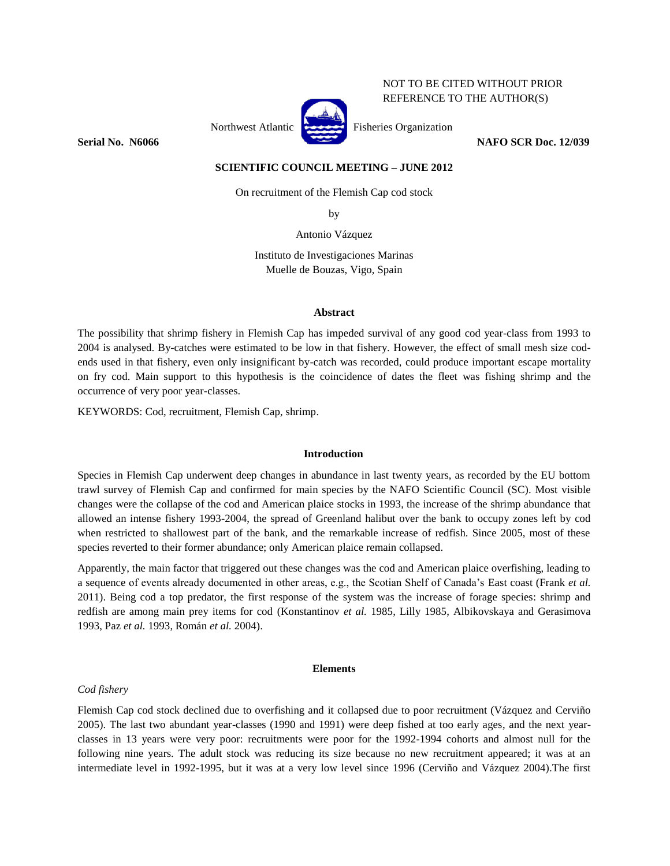# NOT TO BE CITED WITHOUT PRIOR REFERENCE TO THE AUTHOR(S)



Northwest Atlantic Fisheries Organization

**Serial No. N6066 NAFO SCR Doc. 12/039**

## **SCIENTIFIC COUNCIL MEETING – JUNE 2012**

On recruitment of the Flemish Cap cod stock

by

Antonio Vázquez

Instituto de Investigaciones Marinas Muelle de Bouzas, Vigo, Spain

#### **Abstract**

The possibility that shrimp fishery in Flemish Cap has impeded survival of any good cod year-class from 1993 to 2004 is analysed. By-catches were estimated to be low in that fishery. However, the effect of small mesh size codends used in that fishery, even only insignificant by-catch was recorded, could produce important escape mortality on fry cod. Main support to this hypothesis is the coincidence of dates the fleet was fishing shrimp and the occurrence of very poor year-classes.

KEYWORDS: Cod, recruitment, Flemish Cap, shrimp.

#### **Introduction**

Species in Flemish Cap underwent deep changes in abundance in last twenty years, as recorded by the EU bottom trawl survey of Flemish Cap and confirmed for main species by the NAFO Scientific Council (SC). Most visible changes were the collapse of the cod and American plaice stocks in 1993, the increase of the shrimp abundance that allowed an intense fishery 1993-2004, the spread of Greenland halibut over the bank to occupy zones left by cod when restricted to shallowest part of the bank, and the remarkable increase of redfish. Since 2005, most of these species reverted to their former abundance; only American plaice remain collapsed.

Apparently, the main factor that triggered out these changes was the cod and American plaice overfishing, leading to a sequence of events already documented in other areas, e.g., the Scotian Shelf of Canada's East coast (Frank *et al.* 2011). Being cod a top predator, the first response of the system was the increase of forage species: shrimp and redfish are among main prey items for cod (Konstantinov *et al.* 1985, Lilly 1985, Albikovskaya and Gerasimova 1993, Paz *et al.* 1993, Román *et al.* 2004).

## **Elements**

## *Cod fishery*

Flemish Cap cod stock declined due to overfishing and it collapsed due to poor recruitment (Vázquez and Cerviño 2005). The last two abundant year-classes (1990 and 1991) were deep fished at too early ages, and the next yearclasses in 13 years were very poor: recruitments were poor for the 1992-1994 cohorts and almost null for the following nine years. The adult stock was reducing its size because no new recruitment appeared; it was at an intermediate level in 1992-1995, but it was at a very low level since 1996 (Cerviño and Vázquez 2004).The first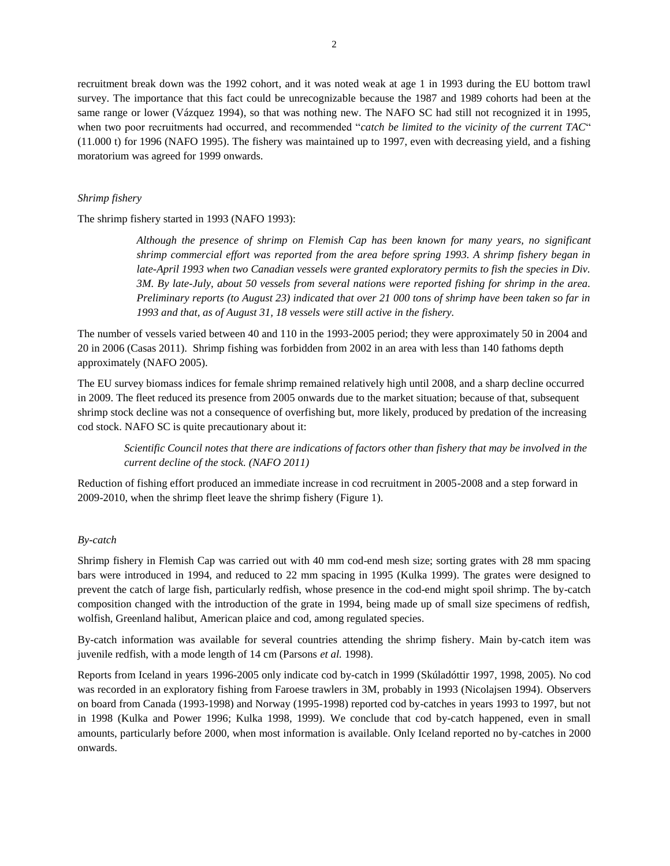recruitment break down was the 1992 cohort, and it was noted weak at age 1 in 1993 during the EU bottom trawl survey. The importance that this fact could be unrecognizable because the 1987 and 1989 cohorts had been at the same range or lower (Vázquez 1994), so that was nothing new. The NAFO SC had still not recognized it in 1995, when two poor recruitments had occurred, and recommended "*catch be limited to the vicinity of the current TAC*" (11.000 t) for 1996 (NAFO 1995). The fishery was maintained up to 1997, even with decreasing yield, and a fishing moratorium was agreed for 1999 onwards.

## *Shrimp fishery*

The shrimp fishery started in 1993 (NAFO 1993):

*Although the presence of shrimp on Flemish Cap has been known for many years, no significant shrimp commercial effort was reported from the area before spring 1993. A shrimp fishery began in late-April 1993 when two Canadian vessels were granted exploratory permits to fish the species in Div. 3M. By late-July, about 50 vessels from several nations were reported fishing for shrimp in the area. Preliminary reports (to August 23) indicated that over 21 000 tons of shrimp have been taken so far in 1993 and that, as of August 31, 18 vessels were still active in the fishery.*

The number of vessels varied between 40 and 110 in the 1993-2005 period; they were approximately 50 in 2004 and 20 in 2006 (Casas 2011). Shrimp fishing was forbidden from 2002 in an area with less than 140 fathoms depth approximately (NAFO 2005).

The EU survey biomass indices for female shrimp remained relatively high until 2008, and a sharp decline occurred in 2009. The fleet reduced its presence from 2005 onwards due to the market situation; because of that, subsequent shrimp stock decline was not a consequence of overfishing but, more likely, produced by predation of the increasing cod stock. NAFO SC is quite precautionary about it:

*Scientific Council notes that there are indications of factors other than fishery that may be involved in the current decline of the stock. (NAFO 2011)*

Reduction of fishing effort produced an immediate increase in cod recruitment in 2005-2008 and a step forward in 2009-2010, when the shrimp fleet leave the shrimp fishery (Figure 1).

## *By-catch*

Shrimp fishery in Flemish Cap was carried out with 40 mm cod-end mesh size; sorting grates with 28 mm spacing bars were introduced in 1994, and reduced to 22 mm spacing in 1995 (Kulka 1999). The grates were designed to prevent the catch of large fish, particularly redfish, whose presence in the cod-end might spoil shrimp. The by-catch composition changed with the introduction of the grate in 1994, being made up of small size specimens of redfish, wolfish, Greenland halibut, American plaice and cod, among regulated species.

By-catch information was available for several countries attending the shrimp fishery. Main by-catch item was juvenile redfish, with a mode length of 14 cm (Parsons *et al.* 1998).

Reports from Iceland in years 1996-2005 only indicate cod by-catch in 1999 (Skúladóttir 1997, 1998, 2005). No cod was recorded in an exploratory fishing from Faroese trawlers in 3M, probably in 1993 (Nicolajsen 1994). Observers on board from Canada (1993-1998) and Norway (1995-1998) reported cod by-catches in years 1993 to 1997, but not in 1998 (Kulka and Power 1996; Kulka 1998, 1999). We conclude that cod by-catch happened, even in small amounts, particularly before 2000, when most information is available. Only Iceland reported no by-catches in 2000 onwards.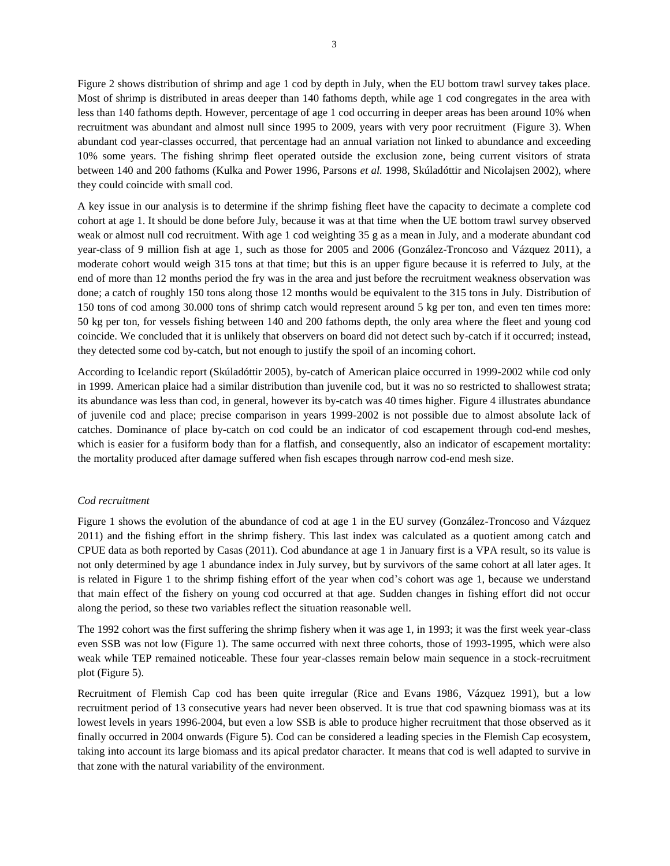Figure 2 shows distribution of shrimp and age 1 cod by depth in July, when the EU bottom trawl survey takes place. Most of shrimp is distributed in areas deeper than 140 fathoms depth, while age 1 cod congregates in the area with less than 140 fathoms depth. However, percentage of age 1 cod occurring in deeper areas has been around 10% when recruitment was abundant and almost null since 1995 to 2009, years with very poor recruitment (Figure 3). When abundant cod year-classes occurred, that percentage had an annual variation not linked to abundance and exceeding 10% some years. The fishing shrimp fleet operated outside the exclusion zone, being current visitors of strata between 140 and 200 fathoms (Kulka and Power 1996, Parsons *et al.* 1998, Skúladóttir and Nicolajsen 2002), where they could coincide with small cod.

A key issue in our analysis is to determine if the shrimp fishing fleet have the capacity to decimate a complete cod cohort at age 1. It should be done before July, because it was at that time when the UE bottom trawl survey observed weak or almost null cod recruitment. With age 1 cod weighting 35 g as a mean in July, and a moderate abundant cod year-class of 9 million fish at age 1, such as those for 2005 and 2006 (González-Troncoso and Vázquez 2011), a moderate cohort would weigh 315 tons at that time; but this is an upper figure because it is referred to July, at the end of more than 12 months period the fry was in the area and just before the recruitment weakness observation was done; a catch of roughly 150 tons along those 12 months would be equivalent to the 315 tons in July. Distribution of 150 tons of cod among 30.000 tons of shrimp catch would represent around 5 kg per ton, and even ten times more: 50 kg per ton, for vessels fishing between 140 and 200 fathoms depth, the only area where the fleet and young cod coincide. We concluded that it is unlikely that observers on board did not detect such by-catch if it occurred; instead, they detected some cod by-catch, but not enough to justify the spoil of an incoming cohort.

According to Icelandic report (Skúladóttir 2005), by-catch of American plaice occurred in 1999-2002 while cod only in 1999. American plaice had a similar distribution than juvenile cod, but it was no so restricted to shallowest strata; its abundance was less than cod, in general, however its by-catch was 40 times higher. Figure 4 illustrates abundance of juvenile cod and place; precise comparison in years 1999-2002 is not possible due to almost absolute lack of catches. Dominance of place by-catch on cod could be an indicator of cod escapement through cod-end meshes, which is easier for a fusiform body than for a flatfish, and consequently, also an indicator of escapement mortality: the mortality produced after damage suffered when fish escapes through narrow cod-end mesh size.

#### *Cod recruitment*

Figure 1 shows the evolution of the abundance of cod at age 1 in the EU survey (González-Troncoso and Vázquez 2011) and the fishing effort in the shrimp fishery. This last index was calculated as a quotient among catch and CPUE data as both reported by Casas (2011). Cod abundance at age 1 in January first is a VPA result, so its value is not only determined by age 1 abundance index in July survey, but by survivors of the same cohort at all later ages. It is related in Figure 1 to the shrimp fishing effort of the year when cod's cohort was age 1, because we understand that main effect of the fishery on young cod occurred at that age. Sudden changes in fishing effort did not occur along the period, so these two variables reflect the situation reasonable well.

The 1992 cohort was the first suffering the shrimp fishery when it was age 1, in 1993; it was the first week year-class even SSB was not low (Figure 1). The same occurred with next three cohorts, those of 1993-1995, which were also weak while TEP remained noticeable. These four year-classes remain below main sequence in a stock-recruitment plot (Figure 5).

Recruitment of Flemish Cap cod has been quite irregular (Rice and Evans 1986, Vázquez 1991), but a low recruitment period of 13 consecutive years had never been observed. It is true that cod spawning biomass was at its lowest levels in years 1996-2004, but even a low SSB is able to produce higher recruitment that those observed as it finally occurred in 2004 onwards (Figure 5). Cod can be considered a leading species in the Flemish Cap ecosystem, taking into account its large biomass and its apical predator character. It means that cod is well adapted to survive in that zone with the natural variability of the environment.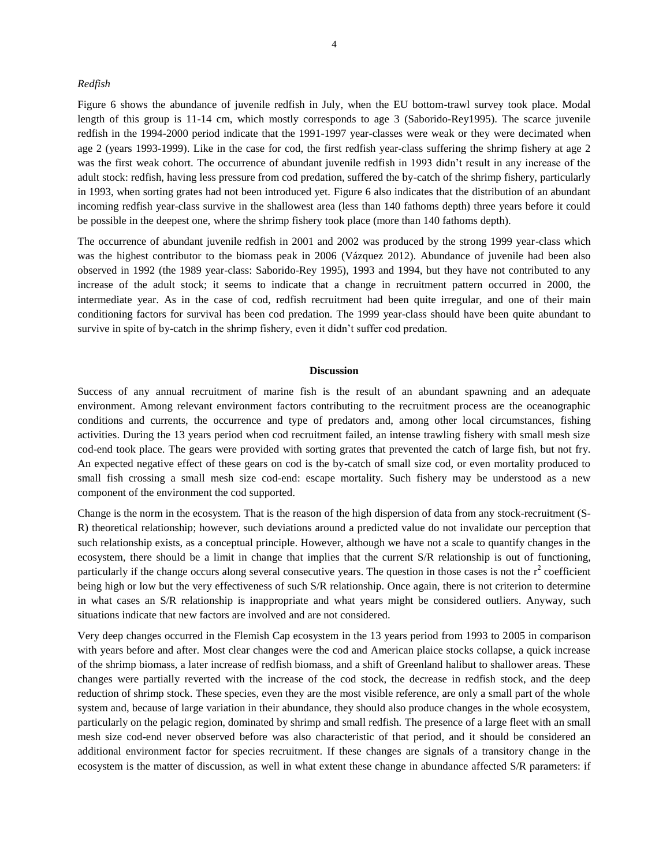## *Redfish*

Figure 6 shows the abundance of juvenile redfish in July, when the EU bottom-trawl survey took place. Modal length of this group is 11-14 cm, which mostly corresponds to age 3 (Saborido-Rey1995). The scarce juvenile redfish in the 1994-2000 period indicate that the 1991-1997 year-classes were weak or they were decimated when age 2 (years 1993-1999). Like in the case for cod, the first redfish year-class suffering the shrimp fishery at age 2 was the first weak cohort. The occurrence of abundant juvenile redfish in 1993 didn't result in any increase of the adult stock: redfish, having less pressure from cod predation, suffered the by-catch of the shrimp fishery, particularly in 1993, when sorting grates had not been introduced yet. Figure 6 also indicates that the distribution of an abundant incoming redfish year-class survive in the shallowest area (less than 140 fathoms depth) three years before it could be possible in the deepest one, where the shrimp fishery took place (more than 140 fathoms depth).

The occurrence of abundant juvenile redfish in 2001 and 2002 was produced by the strong 1999 year-class which was the highest contributor to the biomass peak in 2006 (Vázquez 2012). Abundance of juvenile had been also observed in 1992 (the 1989 year-class: Saborido-Rey 1995), 1993 and 1994, but they have not contributed to any increase of the adult stock; it seems to indicate that a change in recruitment pattern occurred in 2000, the intermediate year. As in the case of cod, redfish recruitment had been quite irregular, and one of their main conditioning factors for survival has been cod predation. The 1999 year-class should have been quite abundant to survive in spite of by-catch in the shrimp fishery, even it didn't suffer cod predation.

#### **Discussion**

Success of any annual recruitment of marine fish is the result of an abundant spawning and an adequate environment. Among relevant environment factors contributing to the recruitment process are the oceanographic conditions and currents, the occurrence and type of predators and, among other local circumstances, fishing activities. During the 13 years period when cod recruitment failed, an intense trawling fishery with small mesh size cod-end took place. The gears were provided with sorting grates that prevented the catch of large fish, but not fry. An expected negative effect of these gears on cod is the by-catch of small size cod, or even mortality produced to small fish crossing a small mesh size cod-end: escape mortality. Such fishery may be understood as a new component of the environment the cod supported.

Change is the norm in the ecosystem. That is the reason of the high dispersion of data from any stock-recruitment (S-R) theoretical relationship; however, such deviations around a predicted value do not invalidate our perception that such relationship exists, as a conceptual principle. However, although we have not a scale to quantify changes in the ecosystem, there should be a limit in change that implies that the current S/R relationship is out of functioning, particularly if the change occurs along several consecutive years. The question in those cases is not the  $r^2$  coefficient being high or low but the very effectiveness of such S/R relationship. Once again, there is not criterion to determine in what cases an S/R relationship is inappropriate and what years might be considered outliers. Anyway, such situations indicate that new factors are involved and are not considered.

Very deep changes occurred in the Flemish Cap ecosystem in the 13 years period from 1993 to 2005 in comparison with years before and after. Most clear changes were the cod and American plaice stocks collapse, a quick increase of the shrimp biomass, a later increase of redfish biomass, and a shift of Greenland halibut to shallower areas. These changes were partially reverted with the increase of the cod stock, the decrease in redfish stock, and the deep reduction of shrimp stock. These species, even they are the most visible reference, are only a small part of the whole system and, because of large variation in their abundance, they should also produce changes in the whole ecosystem, particularly on the pelagic region, dominated by shrimp and small redfish. The presence of a large fleet with an small mesh size cod-end never observed before was also characteristic of that period, and it should be considered an additional environment factor for species recruitment. If these changes are signals of a transitory change in the ecosystem is the matter of discussion, as well in what extent these change in abundance affected S/R parameters: if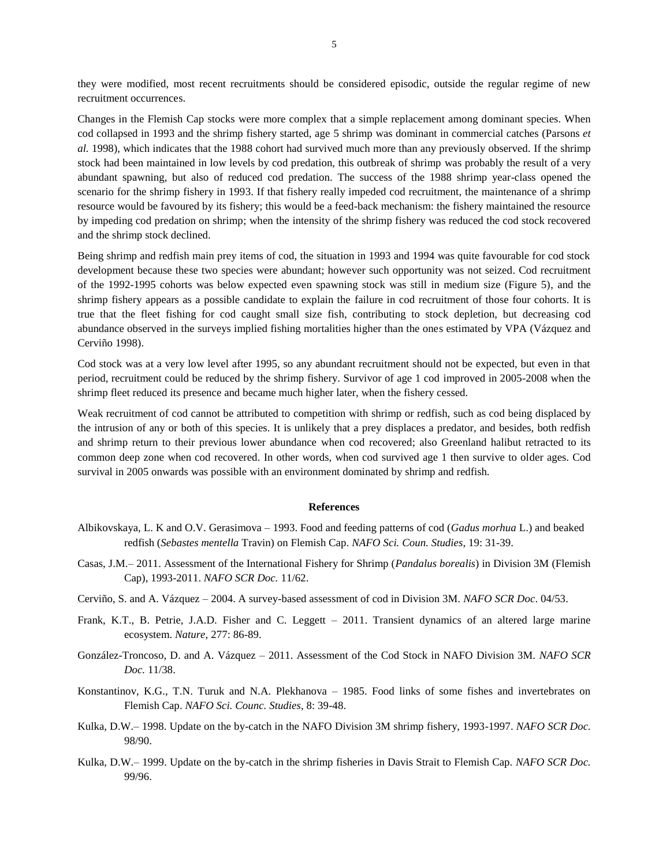they were modified, most recent recruitments should be considered episodic, outside the regular regime of new recruitment occurrences.

Changes in the Flemish Cap stocks were more complex that a simple replacement among dominant species. When cod collapsed in 1993 and the shrimp fishery started, age 5 shrimp was dominant in commercial catches (Parsons *et al.* 1998), which indicates that the 1988 cohort had survived much more than any previously observed. If the shrimp stock had been maintained in low levels by cod predation, this outbreak of shrimp was probably the result of a very abundant spawning, but also of reduced cod predation. The success of the 1988 shrimp year-class opened the scenario for the shrimp fishery in 1993. If that fishery really impeded cod recruitment, the maintenance of a shrimp resource would be favoured by its fishery; this would be a feed-back mechanism: the fishery maintained the resource by impeding cod predation on shrimp; when the intensity of the shrimp fishery was reduced the cod stock recovered and the shrimp stock declined.

Being shrimp and redfish main prey items of cod, the situation in 1993 and 1994 was quite favourable for cod stock development because these two species were abundant; however such opportunity was not seized. Cod recruitment of the 1992-1995 cohorts was below expected even spawning stock was still in medium size (Figure 5), and the shrimp fishery appears as a possible candidate to explain the failure in cod recruitment of those four cohorts. It is true that the fleet fishing for cod caught small size fish, contributing to stock depletion, but decreasing cod abundance observed in the surveys implied fishing mortalities higher than the ones estimated by VPA (Vázquez and Cerviño 1998).

Cod stock was at a very low level after 1995, so any abundant recruitment should not be expected, but even in that period, recruitment could be reduced by the shrimp fishery. Survivor of age 1 cod improved in 2005-2008 when the shrimp fleet reduced its presence and became much higher later, when the fishery cessed.

Weak recruitment of cod cannot be attributed to competition with shrimp or redfish, such as cod being displaced by the intrusion of any or both of this species. It is unlikely that a prey displaces a predator, and besides, both redfish and shrimp return to their previous lower abundance when cod recovered; also Greenland halibut retracted to its common deep zone when cod recovered. In other words, when cod survived age 1 then survive to older ages. Cod survival in 2005 onwards was possible with an environment dominated by shrimp and redfish.

#### **References**

- Albikovskaya, L. K and O.V. Gerasimova 1993. Food and feeding patterns of cod (*Gadus morhua* L.) and beaked redfish (*Sebastes mentella* Travin) on Flemish Cap. *NAFO Sci. Coun. Studies*, 19: 31-39.
- Casas, J.M.– 2011. [Assessment of the International Fishery for Shrimp \(](http://archive.nafo.int/open/sc/2011/scr11-062.pdf)*Pandalus borealis*) in Division 3M (Flemish Cap), 1993-2011. *[NAFO SCR Doc.](http://archive.nafo.int/open/sc/2011/scr11-062.pdf)* 11/62.
- Cerviño, S. and A. Vázquez 2004. A survey-based assessment of cod in Division 3M. *NAFO SCR Doc*. 04/53.
- Frank, K.T., B. Petrie, J.A.D. Fisher and C. Leggett 2011. Transient dynamics of an altered large marine ecosystem. *Nature*, 277: 86-89.
- González-Troncoso, D. and A. Vázquez 2011. Assessment of the Cod Stock in NAFO Division 3M. *NAFO SCR Doc.* 11/38.
- Konstantinov, K.G., T.N. Turuk and N.A. Plekhanova 1985. Food links of some fishes and invertebrates on Flemish Cap. *NAFO Sci. Counc. Studies*, 8: 39-48.
- Kulka, D.W.– 1998. Update on the by-catch in the NAFO Division 3M shrimp fishery, 1993-1997. *NAFO SCR Doc.*  98/90.
- Kulka, D.W.– 1999. Update on the by-catch in the shrimp fisheries in Davis Strait to Flemish Cap. *NAFO SCR Doc.*  99/96.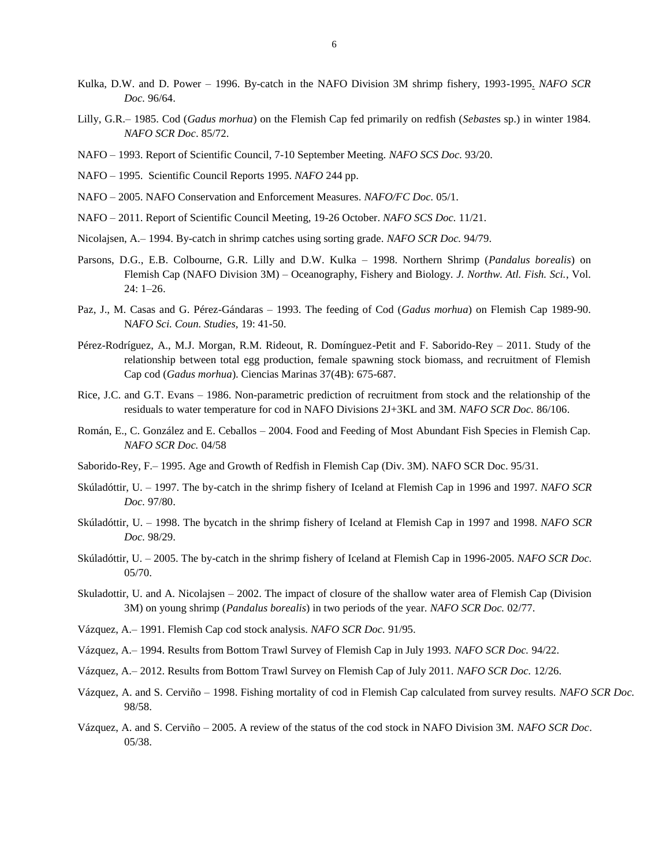- Kulka, D.W. and D. Power 1996. [By-catch in the NAFO Division 3M shrimp fishery, 1993-1995.](http://archive.nafo.int/open/sc/1996/scr-96-064.pdf) *NAFO SCR Doc.* 96/64.
- Lilly, G.R.– 1985. Cod (*Gadus morhua*) on the Flemish Cap fed primarily on redfish (*Sebaste*s sp.) in winter 1984. *NAFO SCR Doc*. 85/72.
- NAFO 1993. Report of Scientific Council, 7-10 September Meeting. *NAFO SCS Doc.* 93/20.
- NAFO 1995. [Scientific Council Reports 1995.](http://archive.nafo.int/open/rb/2011/SCRep-11-D.pdf) *NAFO* 244 pp.
- NAFO 2005. NAFO Conservation and Enforcement Measures. *NAFO/FC Doc.* 05/1.
- NAFO 2011. [Report of Scientific Council Meeting, 19-26 October.](http://archive.nafo.int/open/rb/2011/SCRep-11-D.pdf) *NAFO SCS Doc.* 11/21.
- Nicolajsen, A.– 1994. By-catch in shrimp catches using sorting grade. *NAFO SCR Doc.* 94/79.
- Parsons, D.G., E.B. Colbourne, G.R. Lilly and D.W. Kulka 1998. Northern Shrimp (*Pandalus borealis*) on Flemish Cap (NAFO Division 3M) – Oceanography, Fishery and Biology. *J. Northw. Atl. Fish. Sci.*, Vol. 24: 1–26.
- Paz, J., M. Casas and G. Pérez-Gándaras 1993. The feeding of Cod (*Gadus morhua*) on Flemish Cap 1989-90. N*AFO Sci. Coun. Studies,* 19: 41-50.
- Pérez-Rodríguez, A., M.J. Morgan, R.M. Rideout, R. Domínguez-Petit and F. Saborido-Rey 2011. Study of the relationship between total egg production, female spawning stock biomass, and recruitment of Flemish Cap cod (*Gadus morhua*). Ciencias Marinas 37(4B): 675-687.
- Rice, J.C. and G.T. Evans 1986. Non-parametric prediction of recruitment from stock and the relationship of the residuals to water temperature for cod in NAFO Divisions 2J+3KL and 3M. *NAFO SCR Doc.* 86/106.
- Román, E., C. González and E. Ceballos 2004. Food and Feeding of Most Abundant Fish Species in Flemish Cap. *NAFO SCR Doc.* 04/58
- Saborido-Rey, F.– 1995. Age and Growth of Redfish in Flemish Cap (Div. 3M). NAFO SCR Doc. 95/31.
- Skúladóttir, U. 1997. The by-catch in the shrimp fishery of Iceland at Flemish Cap in 1996 and 1997. *NAFO SCR Doc.* 97/80.
- Skúladóttir, U. 1998. The bycatch in the shrimp fishery of Iceland at Flemish Cap in 1997 and 1998. *NAFO SCR Doc.* 98/29.
- Skúladóttir, U. 2005. The by-catch in the shrimp fishery of Iceland at Flemish Cap in 1996-2005. *NAFO SCR Doc.* 05/70.
- Skuladottir, U. and A. Nicolajsen 2002. The impact of closure of the shallow water area of Flemish Cap (Division 3M) on young shrimp (*Pandalus borealis*) in two periods of the year. *NAFO SCR Doc.* 02/77.
- Vázquez, A.– 1991. Flemish Cap cod stock analysis. *NAFO SCR Doc.* 91/95.
- Vázquez, A.– 1994. Results from Bottom Trawl Survey of Flemish Cap in July 1993. *NAFO SCR Doc.* 94/22.
- Vázquez, A.– 2012. Results from Bottom Trawl Survey on Flemish Cap of July 2011. *NAFO SCR Doc.* 12/26.
- Vázquez, A. and S. Cerviño 1998. Fishing mortality of cod in Flemish Cap calculated from survey results. *NAFO SCR Doc.* 98/58.
- Vázquez, A. and S. Cerviño 2005. A review of the status of the cod stock in NAFO Division 3M. *NAFO SCR Doc*. 05/38.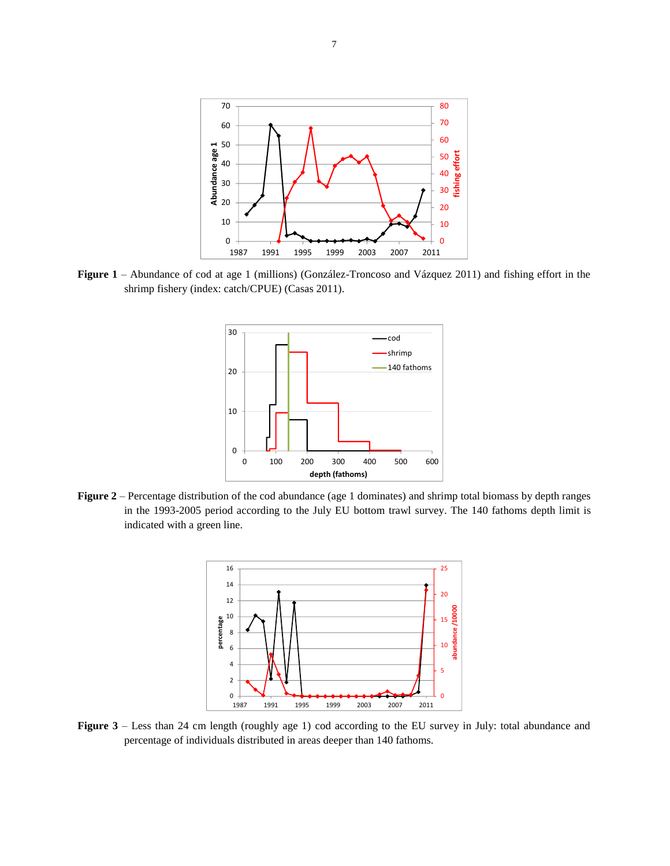

**Figure 1** – Abundance of cod at age 1 (millions) (González-Troncoso and Vázquez 2011) and fishing effort in the shrimp fishery (index: catch/CPUE) (Casas 2011).



**Figure 2** – Percentage distribution of the cod abundance (age 1 dominates) and shrimp total biomass by depth ranges in the 1993-2005 period according to the July EU bottom trawl survey. The 140 fathoms depth limit is indicated with a green line.



Figure – Less than 24 cm length (roughly age 1) cod according to the EU survey in July: total abundance and percentage of individuals distributed in areas deeper than 140 fathoms.